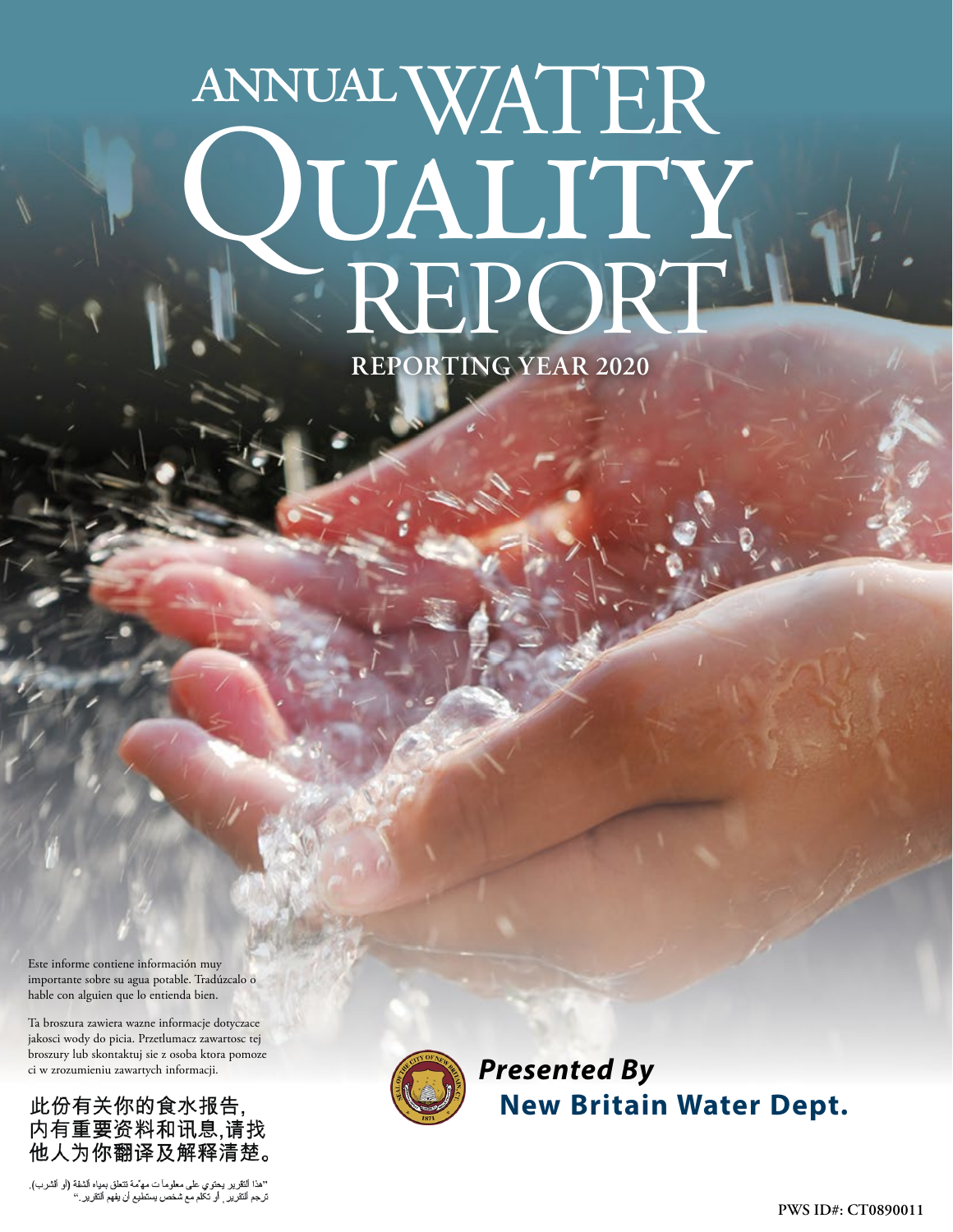# WATER PUALITY<br>REPORT annual **REPORTING YEAR 2020**

Este informe contiene información muy importante sobre su agua potable. Tradúzcalo o hable con alguien que lo entienda bien.

Ta broszura zawiera wazne informacje dotyczace jakosci wody do picia. Przetlumacz zawartosc tej broszury lub skontaktuj sie z osoba ktora pomoze ci w zrozumieniu zawartych informacji.

此份有关你的食水报告, 内有重要资料和讯息,请找 他人为你翻译及解释清楚。

''هذا النقرير يحتوي على معلوماً ت مه ٌمة تتعلق بمداه الشفة (أو الشرب).<br>ترجع النقرير <sub>,</sub> أو تكلم مع شخص يستطيع أن يفهم النقرير .''



*Presented By* **New Britain Water Dept.**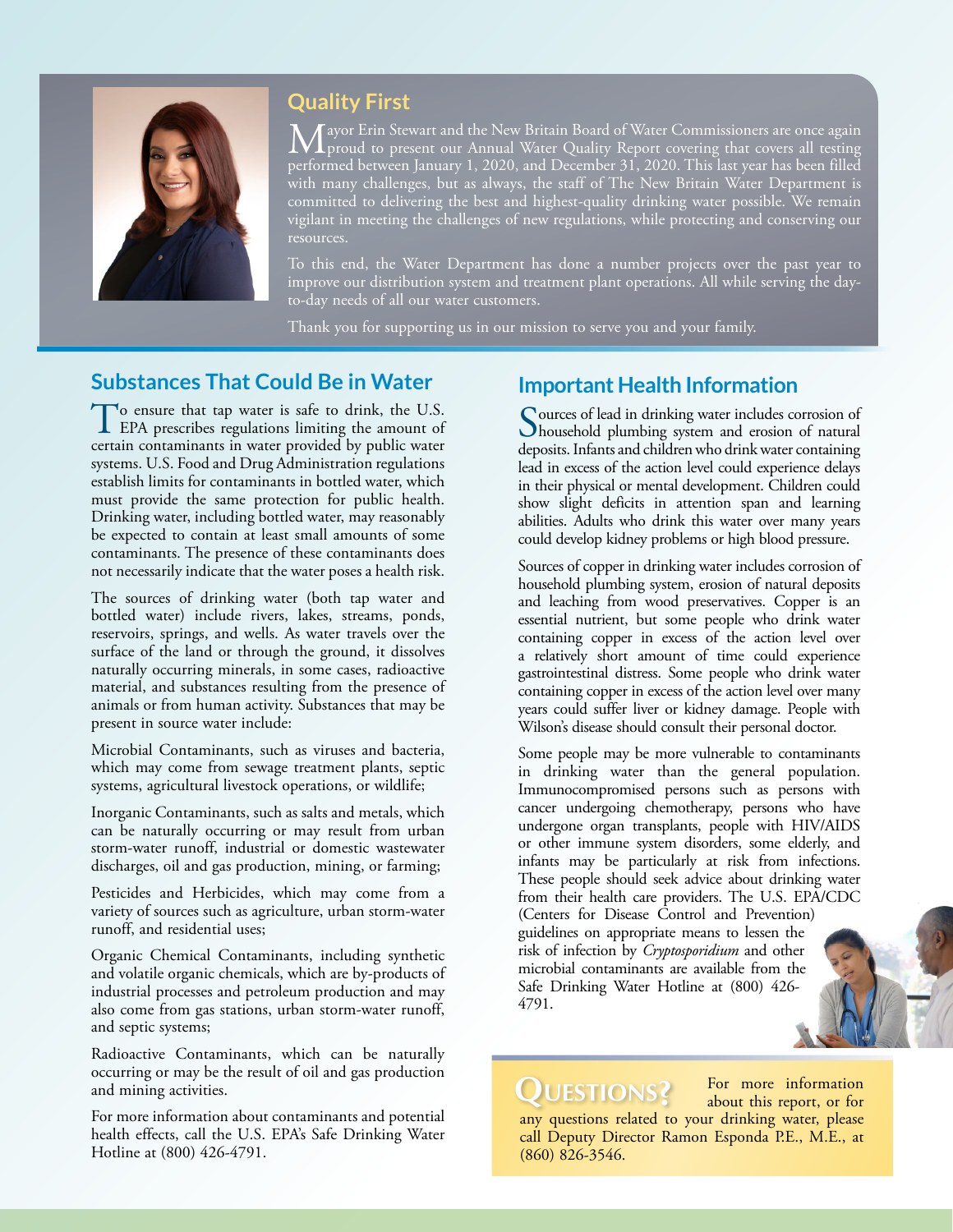

# **Quality First**

Mayor Erin Stewart and the New Britain Board of Water Commissioners are once again<br>proud to present our Annual Water Quality Report covering that covers all testing<br>provided at a 2020 and provided and provided at the CIL 1 performed between January 1, 2020, and December 31, 2020. This last year has been filled with many challenges, but as always, the staff of The New Britain Water Department is committed to delivering the best and highest-quality drinking water possible. We remain vigilant in meeting the challenges of new regulations, while protecting and conserving our resources.

To this end, the Water Department has done a number projects over the past year to improve our distribution system and treatment plant operations. All while serving the dayto-day needs of all our water customers.

Thank you for supporting us in our mission to serve you and your family.

#### **Substances That Could Be in Water**

To ensure that tap water is safe to drink, the U.S.<br>EPA prescribes regulations limiting the amount of certain contaminants in water provided by public water systems. U.S. Food and Drug Administration regulations establish limits for contaminants in bottled water, which must provide the same protection for public health. Drinking water, including bottled water, may reasonably be expected to contain at least small amounts of some contaminants. The presence of these contaminants does not necessarily indicate that the water poses a health risk.

The sources of drinking water (both tap water and bottled water) include rivers, lakes, streams, ponds, reservoirs, springs, and wells. As water travels over the surface of the land or through the ground, it dissolves naturally occurring minerals, in some cases, radioactive material, and substances resulting from the presence of animals or from human activity. Substances that may be present in source water include:

Microbial Contaminants, such as viruses and bacteria, which may come from sewage treatment plants, septic systems, agricultural livestock operations, or wildlife;

Inorganic Contaminants, such as salts and metals, which can be naturally occurring or may result from urban storm-water runoff, industrial or domestic wastewater discharges, oil and gas production, mining, or farming;

Pesticides and Herbicides, which may come from a variety of sources such as agriculture, urban storm-water runoff, and residential uses;

Organic Chemical Contaminants, including synthetic and volatile organic chemicals, which are by-products of industrial processes and petroleum production and may also come from gas stations, urban storm-water runoff, and septic systems;

Radioactive Contaminants, which can be naturally occurring or may be the result of oil and gas production and mining activities.

For more information about contaminants and potential health effects, call the U.S. EPA's Safe Drinking Water Hotline at (800) 426-4791.

#### **Important Health Information**

Sources of lead in drinking water includes corrosion of household plumbing system and erosion of natural deposits. Infants and children who drink water containing lead in excess of the action level could experience delays in their physical or mental development. Children could show slight deficits in attention span and learning abilities. Adults who drink this water over many years could develop kidney problems or high blood pressure.

Sources of copper in drinking water includes corrosion of household plumbing system, erosion of natural deposits and leaching from wood preservatives. Copper is an essential nutrient, but some people who drink water containing copper in excess of the action level over a relatively short amount of time could experience gastrointestinal distress. Some people who drink water containing copper in excess of the action level over many years could suffer liver or kidney damage. People with Wilson's disease should consult their personal doctor.

Some people may be more vulnerable to contaminants in drinking water than the general population. Immunocompromised persons such as persons with cancer undergoing chemotherapy, persons who have undergone organ transplants, people with HIV/AIDS or other immune system disorders, some elderly, and infants may be particularly at risk from infections. These people should seek advice about drinking water from their health care providers. The U.S. EPA/CDC (Centers for Disease Control and Prevention) guidelines on appropriate means to lessen the risk of infection by *Cryptosporidium* and other microbial contaminants are available from the Safe Drinking Water Hotline at (800) 426- 4791.

# **Questions?**

(860) 826-3546.

For more information about this report, or for any questions related to your drinking water, please call Deputy Director Ramon Esponda P.E., M.E., at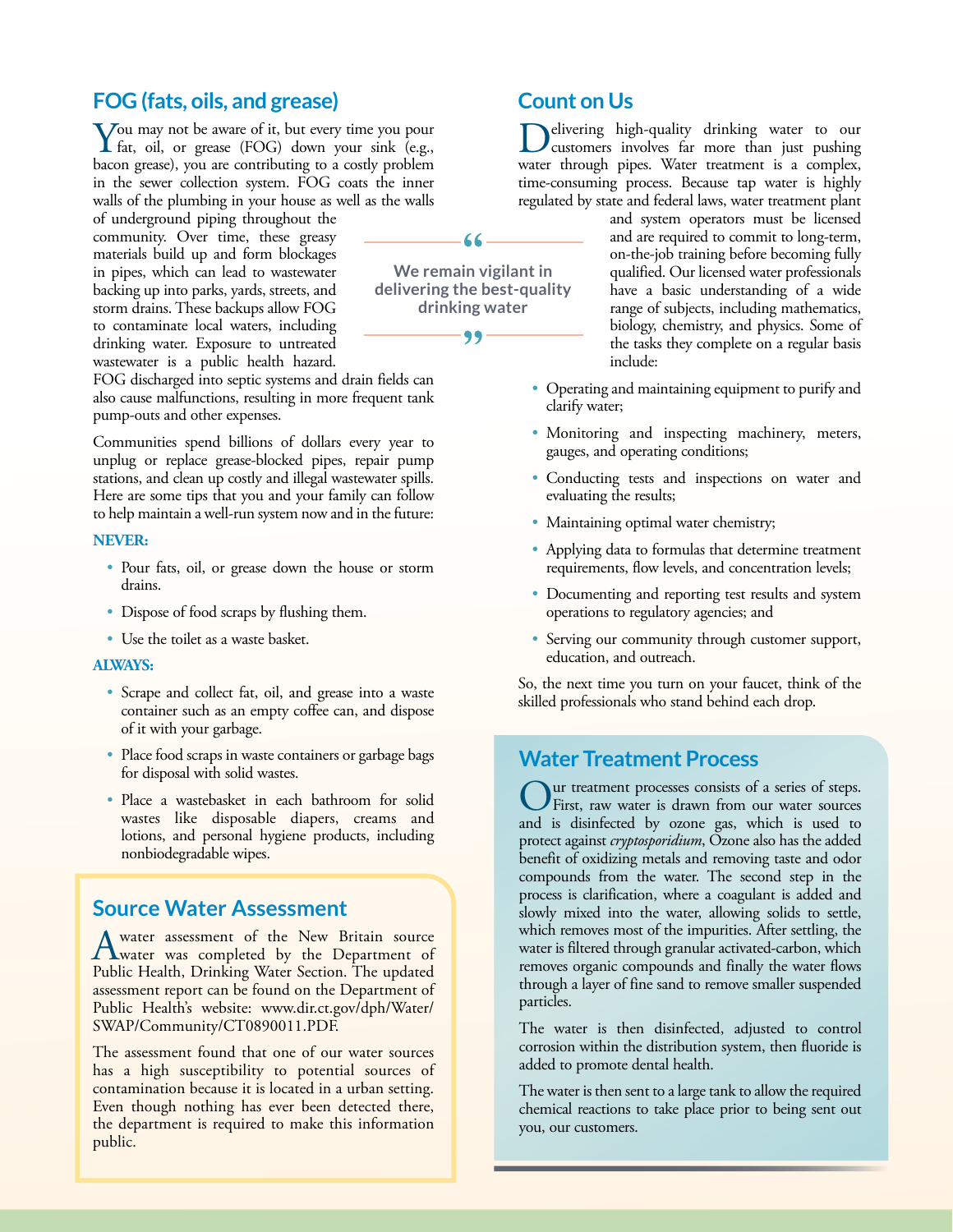### **FOG (fats, oils, and grease)**

You may not be aware of it, but every time you pour fat, oil, or grease (FOG) down your sink (e.g., bacon grease), you are contributing to a costly problem in the sewer collection system. FOG coats the inner walls of the plumbing in your house as well as the walls

of underground piping throughout the community. Over time, these greasy materials build up and form blockages in pipes, which can lead to wastewater backing up into parks, yards, streets, and storm drains. These backups allow FOG to contaminate local waters, including drinking water. Exposure to untreated wastewater is a public health hazard.

FOG discharged into septic systems and drain fields can also cause malfunctions, resulting in more frequent tank pump-outs and other expenses.

Communities spend billions of dollars every year to unplug or replace grease-blocked pipes, repair pump stations, and clean up costly and illegal wastewater spills. Here are some tips that you and your family can follow to help maintain a well-run system now and in the future:

#### **NEVER:**

- Pour fats, oil, or grease down the house or storm drains.
- Dispose of food scraps by flushing them.
- Use the toilet as a waste basket.

#### **ALWAYS:**

- Scrape and collect fat, oil, and grease into a waste container such as an empty coffee can, and dispose of it with your garbage.
- Place food scraps in waste containers or garbage bags for disposal with solid wastes.
- Place a wastebasket in each bathroom for solid wastes like disposable diapers, creams and lotions, and personal hygiene products, including nonbiodegradable wipes.

#### **Source Water Assessment**

A water assessment of the New Britain source<br>
Rublic Hashk Drightne Water Service The undered Public Health, Drinking Water Section. The updated assessment report can be found on the Department of Public Health's website: [www.dir.ct.gov/dph/Water/](http://www.dir.ct.gov/dph/Water/SWAP/Community/CT0890011.PDF) [SWAP/Community/CT0890011.PDF](http://www.dir.ct.gov/dph/Water/SWAP/Community/CT0890011.PDF).

The assessment found that one of our water sources has a high susceptibility to potential sources of contamination because it is located in a urban setting. Even though nothing has ever been detected there, the department is required to make this information public.

# **Count on Us**

elivering high-quality drinking water to our customers involves far more than just pushing water through pipes. Water treatment is a complex, time-consuming process. Because tap water is highly regulated by state and federal laws, water treatment plant

and system operators must be licensed and are required to commit to long-term, on-the-job training before becoming fully qualified. Our licensed water professionals have a basic understanding of a wide range of subjects, including mathematics, biology, chemistry, and physics. Some of the tasks they complete on a regular basis include:

- Operating and maintaining equipment to purify and clarify water;
- Monitoring and inspecting machinery, meters, gauges, and operating conditions;
- Conducting tests and inspections on water and evaluating the results;
- Maintaining optimal water chemistry;
- Applying data to formulas that determine treatment requirements, flow levels, and concentration levels;
- Documenting and reporting test results and system operations to regulatory agencies; and
- Serving our community through customer support, education, and outreach.

So, the next time you turn on your faucet, think of the skilled professionals who stand behind each drop.

#### **Water Treatment Process**

Our treatment processes consists of a series of steps. First, raw water is drawn from our water sources and is disinfected by ozone gas, which is used to protect against *cryptosporidium*, Ozone also has the added benefit of oxidizing metals and removing taste and odor compounds from the water. The second step in the process is clarification, where a coagulant is added and slowly mixed into the water, allowing solids to settle, which removes most of the impurities. After settling, the water is filtered through granular activated-carbon, which removes organic compounds and finally the water flows through a layer of fine sand to remove smaller suspended particles.

The water is then disinfected, adjusted to control corrosion within the distribution system, then fluoride is added to promote dental health.

The water is then sent to a large tank to allow the required chemical reactions to take place prior to being sent out you, our customers.

66

**We remain vigilant in delivering the best-quality drinking water**

99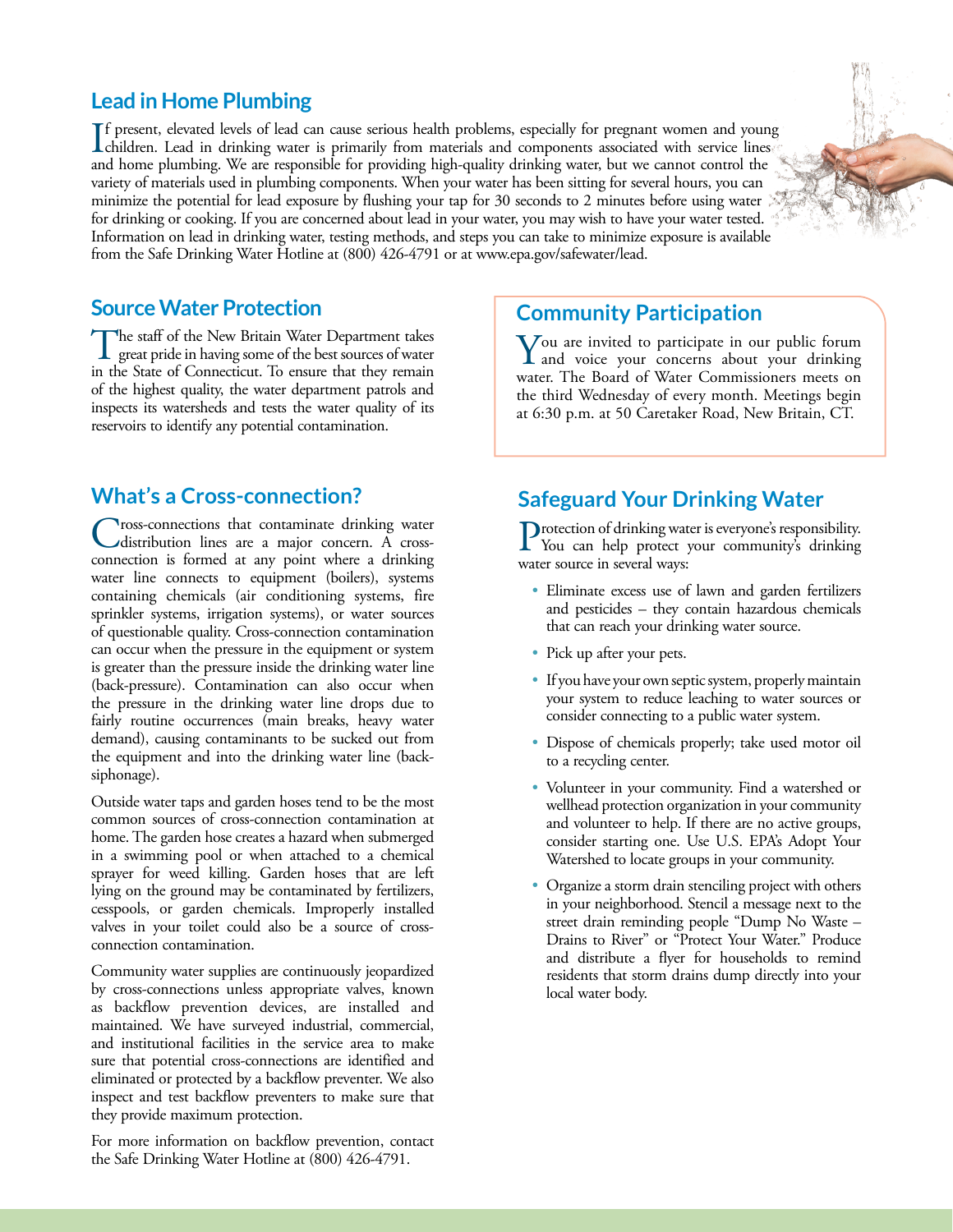#### **Lead in Home Plumbing**

If present, elevated levels of lead can cause serious health problems, especially for pregnant women and young<br>children. Lead in drinking water is primarily from materials and components associated with service lines<br>and h f present, elevated levels of lead can cause serious health problems, especially for pregnant women and young and home plumbing. We are responsible for providing high-quality drinking water, but we cannot control the variety of materials used in plumbing components. When your water has been sitting for several hours, you can minimize the potential for lead exposure by flushing your tap for 30 seconds to 2 minutes before using water for drinking or cooking. If you are concerned about lead in your water, you may wish to have your water tested. Information on lead in drinking water, testing methods, and steps you can take to minimize exposure is available from the Safe Drinking Water Hotline at (800) 426-4791 or at [www.epa.gov/safewater/lead.](http://www.epa.gov/safewater/lead)

#### **Source Water Protection**

The staff of the New Britain Water Department takes great pride in having some of the best sources of water<br>in the State of Comparison. To appear that they generic in the State of Connecticut. To ensure that they remain of the highest quality, the water department patrols and inspects its watersheds and tests the water quality of its reservoirs to identify any potential contamination.

#### **What's a Cross-connection?**

Cross-connections that contaminate drinking water distribution lines are a major concern. A crossconnection is formed at any point where a drinking water line connects to equipment (boilers), systems containing chemicals (air conditioning systems, fire sprinkler systems, irrigation systems), or water sources of questionable quality. Cross-connection contamination can occur when the pressure in the equipment or system is greater than the pressure inside the drinking water line (back-pressure). Contamination can also occur when the pressure in the drinking water line drops due to fairly routine occurrences (main breaks, heavy water demand), causing contaminants to be sucked out from the equipment and into the drinking water line (backsiphonage).

Outside water taps and garden hoses tend to be the most common sources of cross-connection contamination at home. The garden hose creates a hazard when submerged in a swimming pool or when attached to a chemical sprayer for weed killing. Garden hoses that are left lying on the ground may be contaminated by fertilizers, cesspools, or garden chemicals. Improperly installed valves in your toilet could also be a source of crossconnection contamination.

Community water supplies are continuously jeopardized by cross-connections unless appropriate valves, known as backflow prevention devices, are installed and maintained. We have surveyed industrial, commercial, and institutional facilities in the service area to make sure that potential cross-connections are identified and eliminated or protected by a backflow preventer. We also inspect and test backflow preventers to make sure that they provide maximum protection.

For more information on backflow prevention, contact the Safe Drinking Water Hotline at (800) 426-4791.

#### **Community Participation**

You are invited to participate in our public forum and voice your concerns about your drinking water. The Board of Water Commissioners meets on the third Wednesday of every month. Meetings begin at 6:30 p.m. at 50 Caretaker Road, New Britain, CT.

# **Safeguard Your Drinking Water**

Protection of drinking water is everyone's responsibility.<br>You can help protect your community's drinking water source in several ways:

- Eliminate excess use of lawn and garden fertilizers and pesticides – they contain hazardous chemicals that can reach your drinking water source.
- Pick up after your pets.
- If you have your own septic system, properly maintain your system to reduce leaching to water sources or consider connecting to a public water system.
- Dispose of chemicals properly; take used motor oil to a recycling center.
- Volunteer in your community. Find a watershed or wellhead protection organization in your community and volunteer to help. If there are no active groups, consider starting one. Use U.S. EPA's Adopt Your Watershed to locate groups in your community.
- Organize a storm drain stenciling project with others in your neighborhood. Stencil a message next to the street drain reminding people "Dump No Waste – Drains to River" or "Protect Your Water." Produce and distribute a flyer for households to remind residents that storm drains dump directly into your local water body.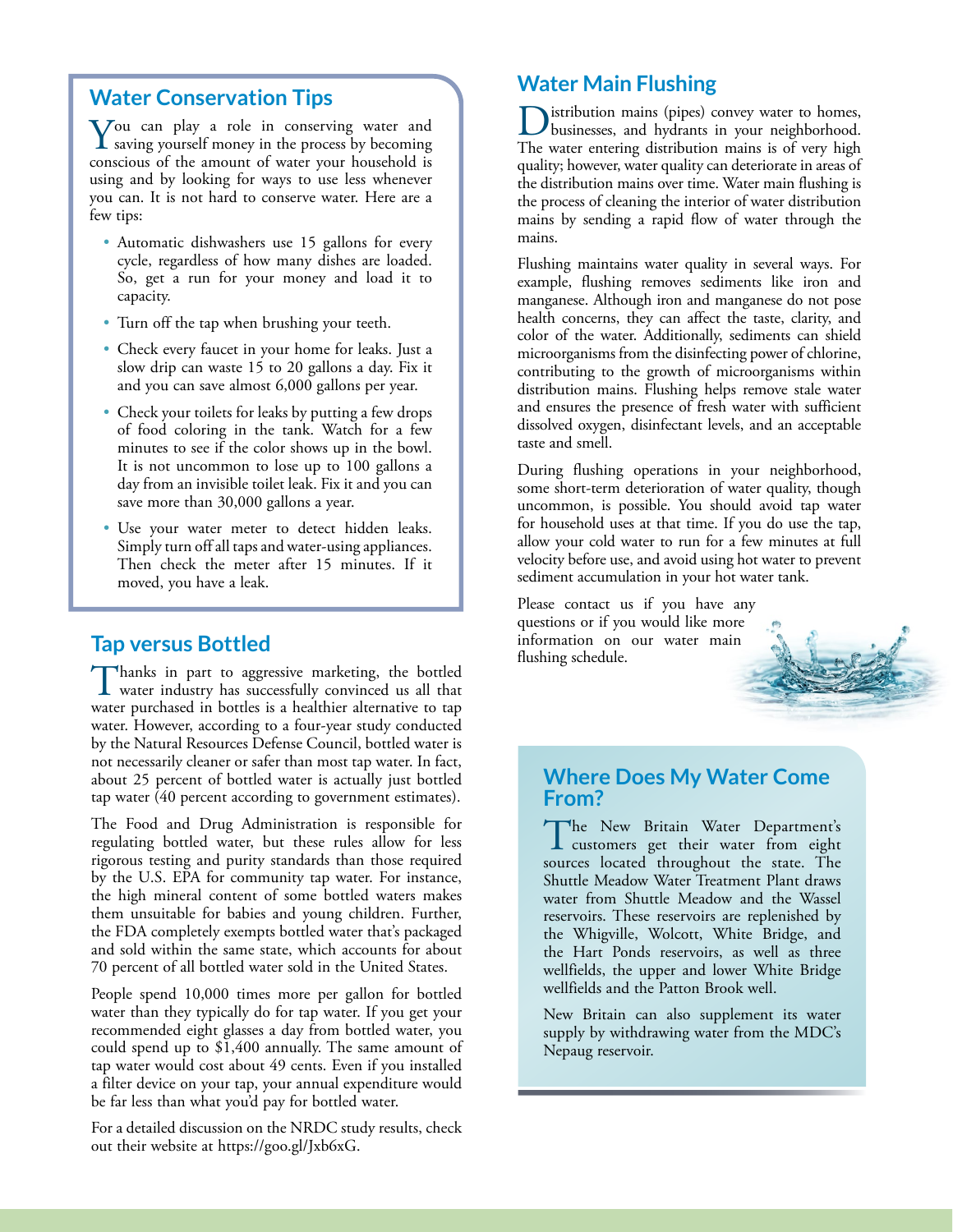#### **Water Conservation Tips**

 $\sum$  ou can play a role in conserving water and saving yourself money in the process by becoming conscious of the amount of water your household is using and by looking for ways to use less whenever you can. It is not hard to conserve water. Here are a few tips:

- Automatic dishwashers use 15 gallons for every cycle, regardless of how many dishes are loaded. So, get a run for your money and load it to capacity.
- Turn off the tap when brushing your teeth.
- Check every faucet in your home for leaks. Just a slow drip can waste 15 to 20 gallons a day. Fix it and you can save almost 6,000 gallons per year.
- Check your toilets for leaks by putting a few drops of food coloring in the tank. Watch for a few minutes to see if the color shows up in the bowl. It is not uncommon to lose up to 100 gallons a day from an invisible toilet leak. Fix it and you can save more than 30,000 gallons a year.
- Use your water meter to detect hidden leaks. Simply turn off all taps and water-using appliances. Then check the meter after 15 minutes. If it moved, you have a leak.

**Tap versus Bottled**<br>Thanks in part to aggressive marketing, the bottled Thanks in part to aggressive marketing, the bottled water industry has successfully convinced us all that water purchased in bottles is a healthier alternative to tap water. However, according to a four-year study conducted by the Natural Resources Defense Council, bottled water is not necessarily cleaner or safer than most tap water. In fact, about 25 percent of bottled water is actually just bottled tap water (40 percent according to government estimates).

The Food and Drug Administration is responsible for regulating bottled water, but these rules allow for less rigorous testing and purity standards than those required by the U.S. EPA for community tap water. For instance, the high mineral content of some bottled waters makes them unsuitable for babies and young children. Further, the FDA completely exempts bottled water that's packaged and sold within the same state, which accounts for about 70 percent of all bottled water sold in the United States.

People spend 10,000 times more per gallon for bottled water than they typically do for tap water. If you get your recommended eight glasses a day from bottled water, you could spend up to \$1,400 annually. The same amount of tap water would cost about 49 cents. Even if you installed a filter device on your tap, your annual expenditure would be far less than what you'd pay for bottled water.

For a detailed discussion on the NRDC study results, check out their website at <https://goo.gl/Jxb6xG>.

### **Water Main Flushing**

Distribution mains (pipes) convey water to homes, businesses, and hydrants in your neighborhood. The water entering distribution mains is of very high quality; however, water quality can deteriorate in areas of the distribution mains over time. Water main flushing is the process of cleaning the interior of water distribution mains by sending a rapid flow of water through the mains.

Flushing maintains water quality in several ways. For example, flushing removes sediments like iron and manganese. Although iron and manganese do not pose health concerns, they can affect the taste, clarity, and color of the water. Additionally, sediments can shield microorganisms from the disinfecting power of chlorine, contributing to the growth of microorganisms within distribution mains. Flushing helps remove stale water and ensures the presence of fresh water with sufficient dissolved oxygen, disinfectant levels, and an acceptable taste and smell.

During flushing operations in your neighborhood, some short-term deterioration of water quality, though uncommon, is possible. You should avoid tap water for household uses at that time. If you do use the tap, allow your cold water to run for a few minutes at full velocity before use, and avoid using hot water to prevent sediment accumulation in your hot water tank.

Please contact us if you have any questions or if you would like more information on our water main flushing schedule.

#### **Where Does My Water Come From?**

The New Britain Water Department's customers get their water from eight sources located throughout the state. The Shuttle Meadow Water Treatment Plant draws water from Shuttle Meadow and the Wassel reservoirs. These reservoirs are replenished by the Whigville, Wolcott, White Bridge, and the Hart Ponds reservoirs, as well as three wellfields, the upper and lower White Bridge wellfields and the Patton Brook well.

New Britain can also supplement its water supply by withdrawing water from the MDC's Nepaug reservoir.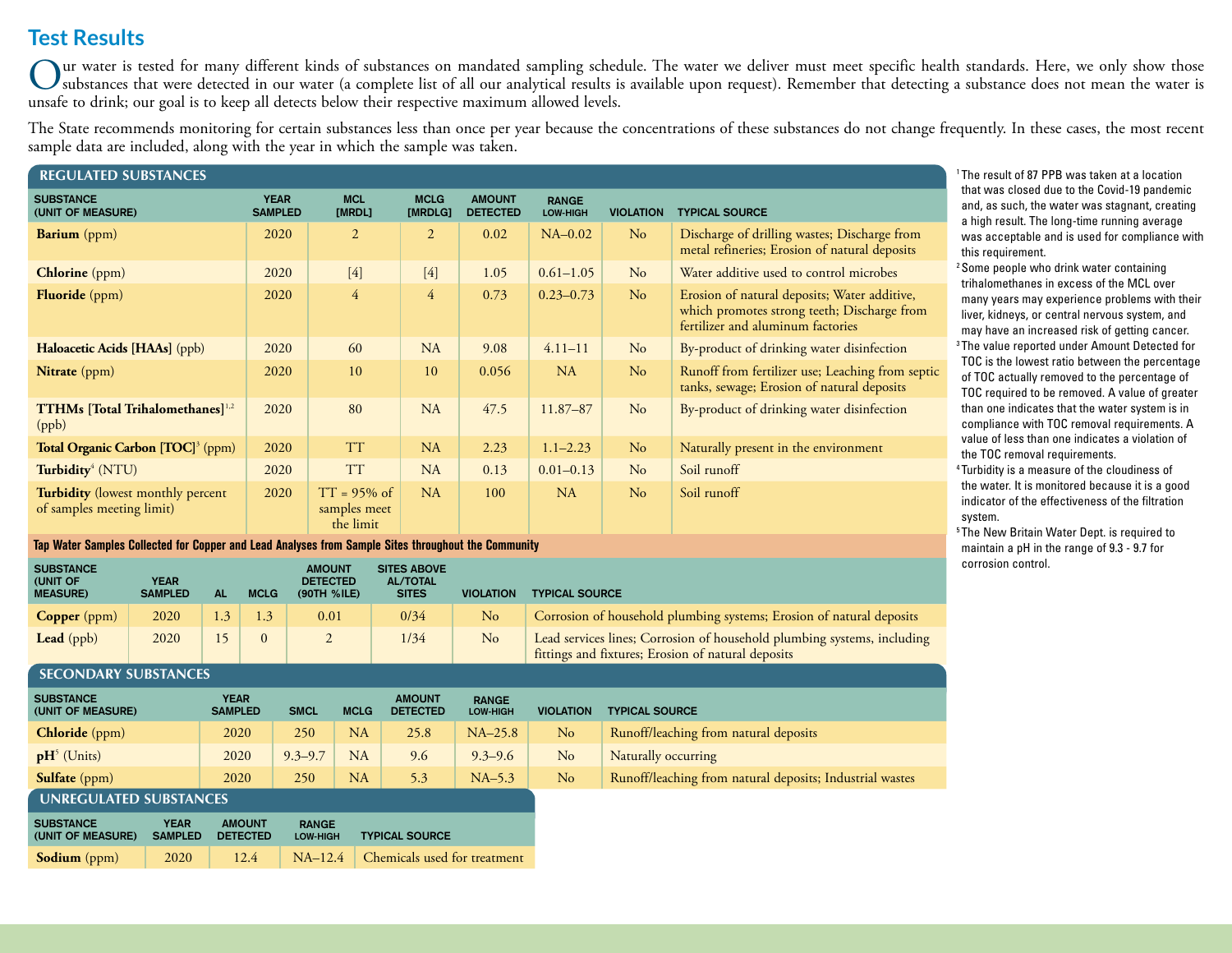# **Test Results**

Our water is tested for many different kinds of substances on mandated sampling schedule. The water we deliver must meet specific health standards. Here, we only show those<br>substances that were detected in our water (a com unsafe to drink; our goal is to keep all detects below their respective maximum allowed levels.

The State recommends monitoring for certain substances less than once per year because the concentrations of these substances do not change frequently. In these cases, the most recent sample data are included, along with the year in which the sample was taken.

| <b>REGULATED SUBSTANCES</b>                                           |                               |                                             |                        |                                  |                          |                  |                                                                                                                                  |  |
|-----------------------------------------------------------------------|-------------------------------|---------------------------------------------|------------------------|----------------------------------|--------------------------|------------------|----------------------------------------------------------------------------------------------------------------------------------|--|
| <b>SUBSTANCE</b><br>(UNIT OF MEASURE)                                 | <b>YEAR</b><br><b>SAMPLED</b> | <b>MCL</b><br>[MRDL]                        | <b>MCLG</b><br>[MRDLG] | <b>AMOUNT</b><br><b>DETECTED</b> | <b>RANGE</b><br>LOW-HIGH | <b>VIOLATION</b> | <b>TYPICAL SOURCE</b>                                                                                                            |  |
| <b>Barium</b> (ppm)                                                   | 2020                          | 2                                           | $\overline{2}$         | 0.02                             | $NA-0.02$                | No               | Discharge of drilling wastes; Discharge from<br>metal refineries; Erosion of natural deposits                                    |  |
| Chlorine (ppm)                                                        | 2020                          | $[4]$                                       | $[4]$                  | 1.05                             | $0.61 - 1.05$            | No               | Water additive used to control microbes                                                                                          |  |
| <b>Fluoride</b> (ppm)                                                 | 2020                          | $\overline{4}$                              | $\overline{4}$         | 0.73                             | $0.23 - 0.73$            | N <sub>o</sub>   | Erosion of natural deposits; Water additive,<br>which promotes strong teeth; Discharge from<br>fertilizer and aluminum factories |  |
| Haloacetic Acids [HAAs] (ppb)                                         | 2020                          | 60                                          | NA                     | 9.08                             | $4.11 - 11$              | No               | By-product of drinking water disinfection                                                                                        |  |
| <b>Nitrate</b> (ppm)                                                  | 2020                          | 10                                          | 10                     | 0.056                            | NA                       | No               | Runoff from fertilizer use; Leaching from septic<br>tanks, sewage; Erosion of natural deposits                                   |  |
| $TTHMs$ [Total Trihalomethanes] $^{1,2}$<br>(ppb)                     | 2020                          | 80                                          | NA                     | 47.5                             | 11.87-87                 | No               | By-product of drinking water disinfection                                                                                        |  |
| Total Organic Carbon [TOC] <sup>3</sup> (ppm)                         | 2020                          | <b>TT</b>                                   | NA                     | 2.23                             | $1.1 - 2.23$             | N <sub>o</sub>   | Naturally present in the environment                                                                                             |  |
| Turbidity <sup>4</sup> (NTU)                                          | 2020                          | <b>TT</b>                                   | NA                     | 0.13                             | $0.01 - 0.13$            | No               | Soil runoff                                                                                                                      |  |
| <b>Turbidity</b> (lowest monthly percent<br>of samples meeting limit) | 2020                          | $TT = 95\%$ of<br>samples meet<br>the limit | NA                     | 100                              | NA                       | No               | Soil runoff                                                                                                                      |  |

#### **Tap Water Samples Collected for Copper and Lead Analyses from Sample Sites throughout the Community**

| <b>SUBSTANCE</b><br>(UNIT OF<br><b>MEASURE)</b> | <b>YEAR</b><br><b>SAMPLED</b> | Αl | <b>MCLG</b> | <b>AMOUNT</b><br><b>DETECTED</b><br>(90TH %ILE) | <b>SITES ABOVE</b><br><b>AL/TOTAL</b><br><b>SITES</b> | <b>VIOLATION</b> | <b>TYPICAL SOURCE</b>                                                                                                         |
|-------------------------------------------------|-------------------------------|----|-------------|-------------------------------------------------|-------------------------------------------------------|------------------|-------------------------------------------------------------------------------------------------------------------------------|
| <b>Copper</b> ( $ppm$ )                         | 2020                          |    | (.3)        | 0.01                                            | 0/34                                                  | No               | Corrosion of household plumbing systems; Erosion of natural deposits                                                          |
| <b>Lead</b> (ppb)                               | 2020                          |    |             |                                                 | 1/34                                                  | No               | Lead services lines; Corrosion of household plumbing systems, including<br>fittings and fixtures; Erosion of natural deposits |

#### **SECONDARY SUBSTANCES**

| <b>SUBSTANCE</b><br>(UNIT OF MEASURE) | <b>YEAR</b><br><b>SAMPLED</b> | <b>SMCL</b> | <b>MCLG</b> | <b>AMOUNT</b><br><b>DETECTED</b> | <b>RANGE</b><br>LOW-HIGH | <b>VIOLATION</b> | <b>TYPICAL SOURCE</b>                                    |
|---------------------------------------|-------------------------------|-------------|-------------|----------------------------------|--------------------------|------------------|----------------------------------------------------------|
| <b>Chloride</b> (ppm)                 | 2020                          | 250         | NA          | 25.8                             | $NA-25.8$                | No               | Runoff/leaching from natural deposits                    |
| $\mathbf{p}$ H <sup>5</sup> (Units)   | 2020                          | $9.3 - 9.7$ | NA          | 9.6                              | $9.3 - 9.6$              | <b>No</b>        | Naturally occurring                                      |
| <b>Sulfate</b> (ppm)                  | 2020                          | 250         | <b>NA</b>   | 5.3                              | $NA-5.3$                 | No               | Runoff/leaching from natural deposits; Industrial wastes |
| UNREGULATED SUBSTANCES                |                               |             |             |                                  |                          |                  |                                                          |

| <b>SUBSTANCE</b>    | <b>YEAR</b>    | <b>AMOUNT</b>   | <b>RANGE</b>    | <b>TYPICAL SOURCE</b>                  |
|---------------------|----------------|-----------------|-----------------|----------------------------------------|
| (UNIT OF MEASURE)   | <b>SAMPLED</b> | <b>DETECTED</b> | <b>LOW-HIGH</b> |                                        |
| <b>Sodium</b> (ppm) | 2020           | 12.4            |                 | $NA-12.4$ Chemicals used for treatment |

1 The result of 87 PPB was taken at a location that was closed due to the Covid-19 pandemic and, as such, the water was stagnant, creating a high result. The long-time running average was acceptable and is used for compliance with this requirement.

2 Some people who drink water containing trihalomethanes in excess of the MCL over many years may experience problems with their liver, kidneys, or central nervous system, and may have an increased risk of getting cancer. 3 The value reported under Amount Detected for TOC is the lowest ratio between the percentage of TOC actually removed to the percentage of TOC required to be removed. A value of greater than one indicates that the water system is in compliance with TOC removal requirements. A value of less than one indicates a violation of the TOC removal requirements.

4 Turbidity is a measure of the cloudiness of the water. It is monitored because it is a good indicator of the effectiveness of the filtration system.

<sup>5</sup> The New Britain Water Dept. is required to maintain a pH in the range of 9.3 - 9.7 for corrosion control.